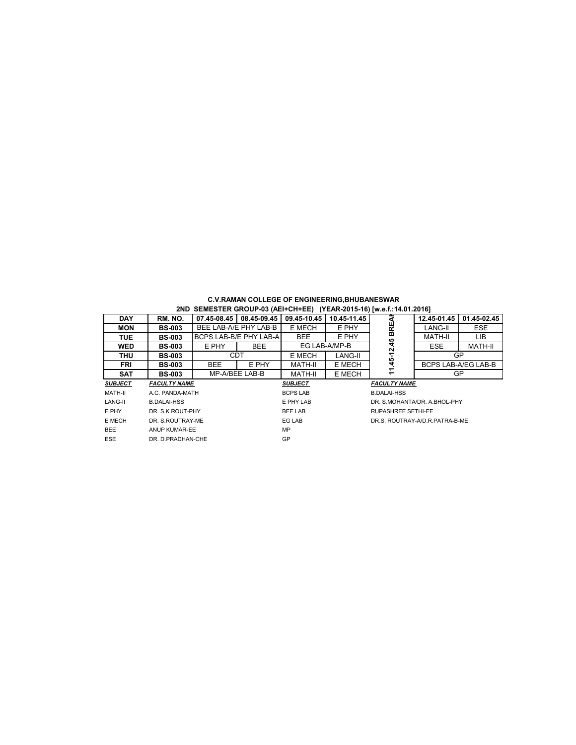|                | 2ND SEMESTER GROUP-03 (AEI+CH+EE) (YEAR-2015-16) [w.e.f.:14.01.2016] |            |                           |                 |               |                                |             |                     |  |
|----------------|----------------------------------------------------------------------|------------|---------------------------|-----------------|---------------|--------------------------------|-------------|---------------------|--|
| <b>DAY</b>     | RM. NO.                                                              |            | 07.45-08.45   08.45-09.45 | 09.45-10.45     | 10.45-11.45   | ∢                              | 12.45-01.45 | 01.45-02.45         |  |
| <b>MON</b>     | <b>BS-003</b>                                                        |            | BEE LAB-A/E PHY LAB-B     | E MECH          | E PHY         | BRE                            | LANG-II     | <b>ESE</b>          |  |
| <b>TUE</b>     | <b>BS-003</b>                                                        |            | BCPS LAB-B/E PHY LAB-A    | <b>BEE</b>      | E PHY         |                                | MATH-II     | LIB.                |  |
| <b>WED</b>     | <b>BS-003</b>                                                        | E PHY      | <b>BEE</b>                |                 | EG LAB-A/MP-B | 11.45-12.45                    | <b>ESE</b>  | MATH-II             |  |
| <b>THU</b>     | <b>BS-003</b>                                                        |            | <b>CDT</b>                | E MECH          | LANG-II       |                                |             | GP                  |  |
| FRI            | <b>BS-003</b>                                                        | <b>BEE</b> | E PHY                     | MATH-II         | E MECH        |                                |             | BCPS LAB-A/EG LAB-B |  |
| <b>SAT</b>     | <b>BS-003</b>                                                        |            | MP-A/BEE LAB-B            | MATH-II         | E MECH        | GP                             |             |                     |  |
| <b>SUBJECT</b> | <b>FACULTY NAME</b>                                                  |            |                           | <b>SUBJECT</b>  |               | <b>FACULTY NAME</b>            |             |                     |  |
| MATH-II        | A.C. PANDA-MATH                                                      |            |                           | <b>BCPS LAB</b> |               | <b>B.DALAI-HSS</b>             |             |                     |  |
| LANG-II        | <b>B.DALAI-HSS</b>                                                   |            |                           | E PHY LAB       |               | DR. S.MOHANTA/DR. A.BHOL-PHY   |             |                     |  |
| E PHY          | DR. S.K. ROUT-PHY                                                    |            |                           | <b>BEE LAB</b>  |               | <b>RUPASHREE SETHI-EE</b>      |             |                     |  |
| E MECH         | DR. S.ROUTRAY-ME                                                     |            |                           | EG LAB          |               | DR.S. ROUTRAY-A/D.R.PATRA-B-ME |             |                     |  |
| <b>BEE</b>     | ANUP KUMAR-EE                                                        |            |                           | <b>MP</b>       |               |                                |             |                     |  |
| <b>ESE</b>     | DR. D.PRADHAN-CHE                                                    |            |                           | <b>GP</b>       |               |                                |             |                     |  |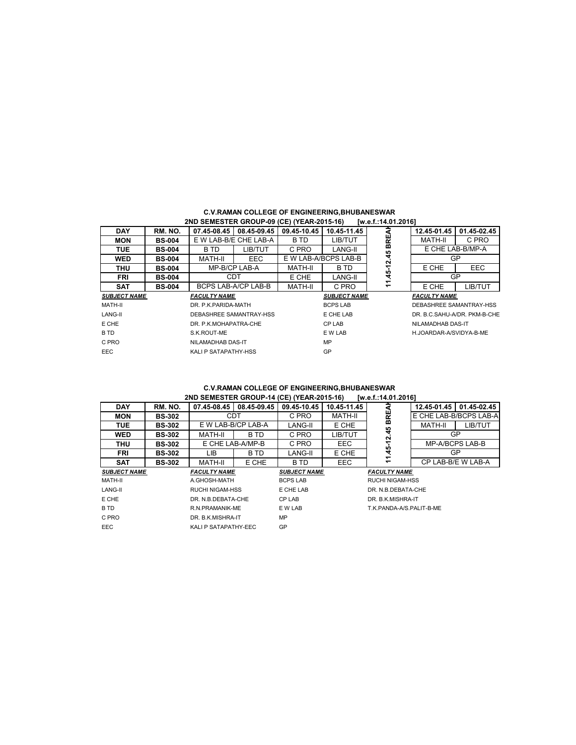# **2ND SEMESTER GROUP-09 (CE) (YEAR-2015-16) [w.e.f.:14.01.2016] K**

| <b>DAY</b>          | RM. NO.              | 07.45-08.45             | 08.45-09.45           | 09.45-10.45    | 10.45-11.45          |      | 12.45-01.45             | 01.45-02.45                  |
|---------------------|----------------------|-------------------------|-----------------------|----------------|----------------------|------|-------------------------|------------------------------|
| <b>MON</b>          | <b>BS-004</b>        |                         | E W LAB-B/E CHE LAB-A | <b>BTD</b>     | LIB/TUT              | BRE  | MATH-II                 | C PRO                        |
| <b>TUE</b>          | <b>BS-004</b>        | B TD                    | LIB/TUT               | C PRO          | LANG-II              |      | E CHE LAB-B/MP-A        |                              |
| <b>WED</b>          | <b>BS-004</b>        | MATH-II                 | <b>EEC</b>            |                | E W LAB-A/BCPS LAB-B | 2.45 | GP                      |                              |
| <b>THU</b>          | <b>BS-004</b>        | MP-B/CP LAB-A           |                       | <b>MATH-II</b> | <b>BTD</b>           | ۳    | E CHE                   | <b>EEC</b>                   |
| <b>FRI</b>          | <b>BS-004</b>        |                         | <b>CDT</b>            | E CHE          | LANG-II              | 45   | GP                      |                              |
| <b>SAT</b>          | <b>BS-004</b>        | BCPS LAB-A/CP LAB-B     |                       | <b>MATH-II</b> | C PRO                | ź.   | E CHE                   | LIB/TUT                      |
| <b>SUBJECT NAME</b> |                      | <b>FACULTY NAME</b>     |                       |                | <b>SUBJECT NAME</b>  |      | <b>FACULTY NAME</b>     |                              |
| MATH-II             |                      | DR. P.K.PARIDA-MATH     |                       |                | <b>BCPS LAB</b>      |      | DEBASHREE SAMANTRAY-HSS |                              |
| LANG-II             |                      | DEBASHREE SAMANTRAY-HSS |                       |                | E CHE LAB            |      |                         | DR. B.C.SAHU-A/DR. PKM-B-CHE |
| E CHE               |                      | DR. P.K.MOHAPATRA-CHE   |                       |                | CP LAB               |      | NILAMADHAB DAS-IT       |                              |
| B TD                |                      | S.K.ROUT-ME             |                       |                | E W LAB              |      | H.JOARDAR-A/SVIDYA-B-ME |                              |
| C PRO               | NILAMADHAB DAS-IT    |                         |                       | MP             |                      |      |                         |                              |
| <b>EEC</b>          | KALI P SATAPATHY-HSS |                         |                       |                | GP                   |      |                         |                              |

#### **C.V.RAMAN COLLEGE OF ENGINEERING,BHUBANESWAR**

|                                          | 2ND SEMESTER GROUP-14 (CE) (YEAR-2015-16)<br>[w.e.f.:14.01.2016] |                        |                           |                     |             |                        |                        |                    |  |  |
|------------------------------------------|------------------------------------------------------------------|------------------------|---------------------------|---------------------|-------------|------------------------|------------------------|--------------------|--|--|
| <b>DAY</b>                               | RM. NO.                                                          |                        | 07.45-08.45   08.45-09.45 | 09.45-10.45         | 10.45-11.45 | ∢                      | 12.45-01.45            | 01.45-02.45        |  |  |
| <b>MON</b>                               | <b>BS-302</b>                                                    | CDT                    |                           | C PRO               | MATH-II     | BRE                    | E CHE LAB-B/BCPS LAB-A |                    |  |  |
| <b>TUE</b>                               | <b>BS-302</b>                                                    | E W LAB-B/CP LAB-A     |                           | LANG-II             | E CHE       |                        | MATH-II                | LIB/TUT            |  |  |
| <b>WED</b>                               | <b>BS-302</b>                                                    | MATH-II                | B TD                      | C PRO               | LIB/TUT     | 11.45-12.45            |                        | GP                 |  |  |
| <b>THU</b>                               | <b>BS-302</b>                                                    | E CHE LAB-A/MP-B       |                           | C PRO               | <b>EEC</b>  |                        |                        | MP-A/BCPS LAB-B    |  |  |
| FRI                                      | <b>BS-302</b>                                                    | LIB                    | B TD                      | LANG-II             | E CHE       |                        |                        | GP                 |  |  |
| <b>SAT</b>                               | <b>BS-302</b>                                                    | MATH-II                | E CHE                     | B TD                | <b>EEC</b>  |                        |                        | CP LAB-B/E W LAB-A |  |  |
| <b>SUBJECT NAME</b>                      |                                                                  | <b>FACULTY NAME</b>    |                           | <b>SUBJECT NAME</b> |             | <b>FACULTY NAME</b>    |                        |                    |  |  |
| MATH-II                                  |                                                                  | A.GHOSH-MATH           |                           | <b>BCPS LAB</b>     |             | <b>RUCHI NIGAM-HSS</b> |                        |                    |  |  |
| LANG-II                                  |                                                                  | <b>RUCHI NIGAM-HSS</b> |                           | E CHE LAB           |             | DR. N.B.DEBATA-CHE     |                        |                    |  |  |
| E CHE                                    |                                                                  | DR. N.B.DEBATA-CHE     |                           | CP LAB              |             | DR. B.K.MISHRA-IT      |                        |                    |  |  |
| B TD                                     | E W LAB<br>T.K. PANDA-A/S. PALIT-B-ME<br>R.N.PRAMANIK-ME         |                        |                           |                     |             |                        |                        |                    |  |  |
| C PRO                                    |                                                                  | DR. B.K.MISHRA-IT      |                           | MP                  |             |                        |                        |                    |  |  |
| <b>EEC</b><br>GP<br>KALI P SATAPATHY-EEC |                                                                  |                        |                           |                     |             |                        |                        |                    |  |  |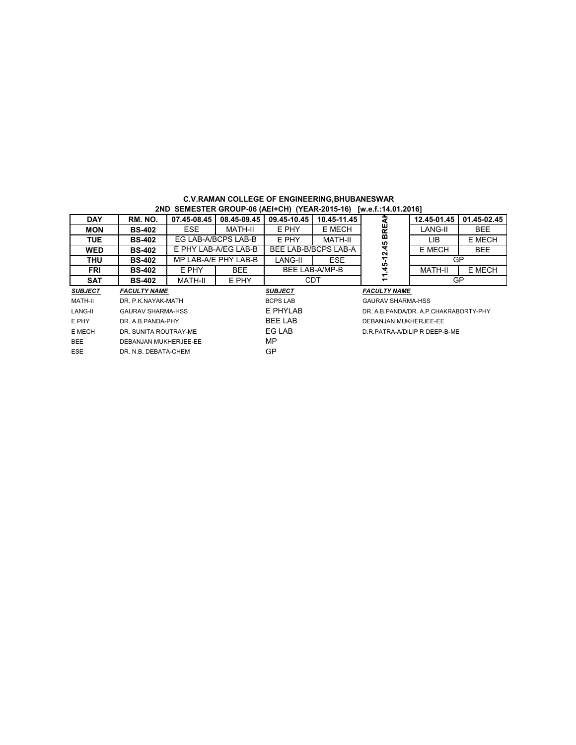# **C.V.RAMAN COLLEGE OF ENGINEERING,BHUBANESWAR 2ND SEMESTER GROUP-06 (AEI+CH) (YEAR-2015-16) [w.e.f.:14.01.2016] K**

| <b>DAY</b>     | RM. NO.                  | 07.45-08.45         | 08.45-09.45          | 09.45-10.45     | 10.45-11.45          | ₫                        | 12.45-01.45                             | 01.45-02.45 |
|----------------|--------------------------|---------------------|----------------------|-----------------|----------------------|--------------------------|-----------------------------------------|-------------|
| <b>MON</b>     | <b>BS-402</b>            | <b>ESE</b>          | MATH-II              | E PHY           | E MECH               | BRE                      | <b>LANG-II</b>                          | <b>BEE</b>  |
| <b>TUE</b>     | <b>BS-402</b>            | EG LAB-A/BCPS LAB-B |                      | E PHY           | <b>MATH-II</b>       |                          | LIB                                     | E MECH      |
| <b>WED</b>     | <b>BS-402</b>            |                     | E PHY LAB-A/EG LAB-B |                 | BEE LAB-B/BCPS LAB-A | 45                       | E MECH                                  | <b>BEE</b>  |
| THU            | <b>BS-402</b>            |                     | MP LAB-A/E PHY LAB-B | LANG-II         | <b>ESE</b>           | 수                        | GP                                      |             |
| FRI            | <b>BS-402</b>            | E PHY               | <b>BEE</b>           |                 | BEE LAB-A/MP-B       | 45                       | <b>MATH-II</b>                          | E MECH      |
| <b>SAT</b>     | <b>BS-402</b>            | <b>MATH-II</b>      | E PHY                |                 | <b>CDT</b>           | <u>ے</u><br>GP           |                                         |             |
| <b>SUBJECT</b> | <b>FACULTY NAME</b>      |                     |                      | <b>SUBJECT</b>  |                      | <b>FACULTY NAME</b>      |                                         |             |
| MATH-II        | DR. P.K.NAYAK-MATH       |                     |                      | <b>BCPS LAB</b> |                      | <b>GAURAV SHARMA-HSS</b> |                                         |             |
| <b>LANG-II</b> | <b>GAURAV SHARMA-HSS</b> |                     |                      | E PHYLAB        |                      |                          | DR. A.B. PANDA/DR. A.P. CHAKRABORTY-PHY |             |
| E PHY          | DR. A.B. PANDA-PHY       |                     |                      | <b>BEE LAB</b>  |                      | DEBANJAN MUKHERJEE-EE    |                                         |             |
| E MECH         | DR. SUNITA ROUTRAY-ME    |                     |                      | EG LAB          |                      |                          | D.R.PATRA-A/DILIP R DEEP-B-ME           |             |
| <b>BEE</b>     | DEBANJAN MUKHERJEE-EE    |                     |                      | MP              |                      |                          |                                         |             |
| <b>ESE</b>     | DR. N.B. DEBATA-CHEM     |                     |                      | GP              |                      |                          |                                         |             |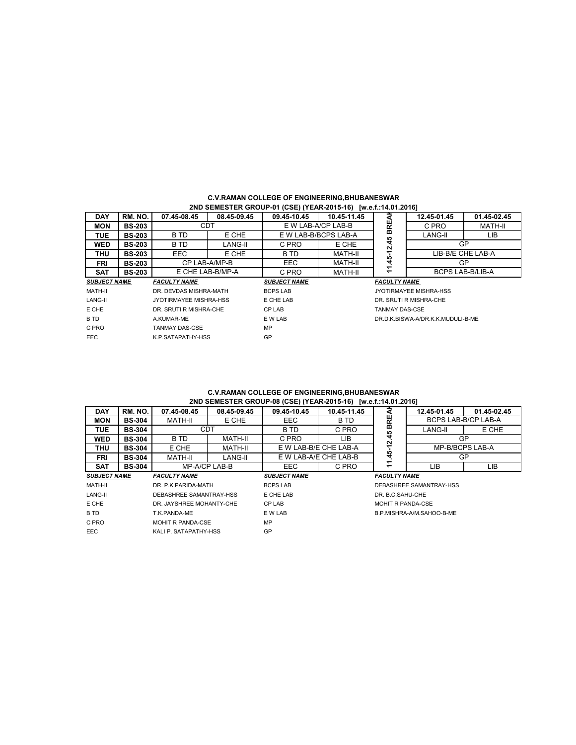# **C.V.RAMAN COLLEGE OF ENGINEERING,BHUBANESWAR 2ND SEMESTER GROUP-01 (CSE) (YEAR-2015-16) [w.e.f.:14.01.2016] K**

| <b>DAY</b>          | RM. NO.       | 07.45-08.45            | 08.45-09.45      | 09.45-10.45         | 10.45-11.45            | ⋖                                 | 12.45-01.45            | 01.45-02.45 |
|---------------------|---------------|------------------------|------------------|---------------------|------------------------|-----------------------------------|------------------------|-------------|
| <b>MON</b>          | <b>BS-203</b> | <b>CDT</b>             |                  |                     | E W LAB-A/CP LAB-B     | BREJ                              | C PRO                  | MATH-II     |
| <b>TUE</b>          | <b>BS-203</b> | <b>BTD</b>             | E CHE            |                     | E W LAB-B/BCPS LAB-A   |                                   | LANG-II                | LIB         |
| <b>WED</b>          | <b>BS-203</b> | <b>BTD</b>             | LANG-II          | C PRO               | E CHE                  | $-45 - 12.45$                     |                        | GP          |
| <b>THU</b>          | <b>BS-203</b> | EEC.                   | E CHE            | B TD                | MATH-II                |                                   | LIB-B/E CHE LAB-A      |             |
| FRI                 | <b>BS-203</b> |                        | CP LAB-A/MP-B    | EEC                 | MATH-II                |                                   |                        | GP          |
| <b>SAT</b>          | <b>BS-203</b> |                        | E CHE LAB-B/MP-A | C PRO               | MATH-II                | ÷<br><b>BCPS LAB-B/LIB-A</b>      |                        |             |
| <b>SUBJECT NAME</b> |               | <b>FACULTY NAME</b>    |                  | <b>SUBJECT NAME</b> |                        | <b>FACULTY NAME</b>               |                        |             |
| MATH-II             |               | DR. DEVDAS MISHRA-MATH |                  | <b>BCPS LAB</b>     |                        |                                   | JYOTIRMAYEE MISHRA-HSS |             |
| LANG-II             |               | JYOTIRMAYEE MISHRA-HSS |                  | E CHE LAB           | DR. SRUTI R MISHRA-CHE |                                   |                        |             |
| E CHE               |               | DR. SRUTI R MISHRA-CHE |                  | CP LAB              | <b>TANMAY DAS-CSE</b>  |                                   |                        |             |
| B TD                |               | A.KUMAR-ME             |                  | E W LAB             |                        | DR.D.K.BISWA-A/DR.K.K.MUDULI-B-ME |                        |             |
| C PRO               |               | <b>TANMAY DAS-CSE</b>  |                  | MP                  |                        |                                   |                        |             |

#### **2ND SEMESTER GROUP-08 (CSE) (YEAR-2015-16) [w.e.f.:14.01.2016] C.V.RAMAN COLLEGE OF ENGINEERING,BHUBANESWAR**

EEC K.P.SATAPATHY-HSS GP

|                     | ZND SEMESTER GROUP-08 (CSE) (TEAR-2015-16) [W.G.T.:14.01.2016] |                          |               |                       |                       |                           |                          |                                                                   |  |  |  |
|---------------------|----------------------------------------------------------------|--------------------------|---------------|-----------------------|-----------------------|---------------------------|--------------------------|-------------------------------------------------------------------|--|--|--|
| <b>DAY</b>          | RM. NO.                                                        | 07.45-08.45              | 08.45-09.45   | 09.45-10.45           | 10.45-11.45           | ⋖                         | 12.45-01.45              | 01.45-02.45                                                       |  |  |  |
| <b>MON</b>          | <b>BS-304</b>                                                  | MATH-II                  | E CHE         | EEC                   | B TD                  | BRE                       |                          |                                                                   |  |  |  |
| <b>TUE</b>          | <b>BS-304</b>                                                  | <b>CDT</b>               |               | B TD                  | C PRO                 |                           | LANG-II                  | E CHE                                                             |  |  |  |
| <b>WED</b>          | <b>BS-304</b>                                                  | B TD                     | MATH-II       | C PRO                 | LIB.                  | 45                        |                          | BCPS LAB-B/CP LAB-A<br>GP<br>MP-B/BCPS LAB-A<br>GP<br>LIB.<br>LIB |  |  |  |
| <b>THU</b>          | <b>BS-304</b>                                                  | E CHE                    | MATH-II       |                       | E W LAB-B/E CHE LAB-A | <u>بہ</u>                 |                          |                                                                   |  |  |  |
| <b>FRI</b>          | <b>BS-304</b>                                                  | MATH-II                  | LANG-II       | E W LAB-A/E CHE LAB-B |                       | 45                        |                          |                                                                   |  |  |  |
| <b>SAT</b>          | <b>BS-304</b>                                                  |                          | MP-A/CP LAB-B | EEC.<br>C PRO         |                       | ÷                         |                          |                                                                   |  |  |  |
| <b>SUBJECT NAME</b> |                                                                | <b>FACULTY NAME</b>      |               | <b>SUBJECT NAME</b>   |                       | <b>FACULTY NAME</b>       |                          |                                                                   |  |  |  |
| MATH-II             |                                                                | DR. P.K.PARIDA-MATH      |               | <b>BCPS LAB</b>       |                       |                           | DEBASHREE SAMANTRAY-HSS  |                                                                   |  |  |  |
| LANG-II             |                                                                | DEBASHREE SAMANTRAY-HSS  |               | E CHE LAB             |                       | DR. B.C.SAHU-CHE          |                          |                                                                   |  |  |  |
| E CHE               |                                                                | DR. JAYSHREE MOHANTY-CHE |               | CP LAB                |                       |                           | <b>MOHIT R PANDA-CSE</b> |                                                                   |  |  |  |
| B TD                | T.K.PANDA-ME                                                   |                          | E W LAB       |                       |                       | B.P.MISHRA-A/M.SAHOO-B-ME |                          |                                                                   |  |  |  |
| C PRO               | MOHIT R PANDA-CSE                                              |                          | <b>MP</b>     |                       |                       |                           |                          |                                                                   |  |  |  |
| EEC.                |                                                                | KALI P. SATAPATHY-HSS    |               | GP                    |                       |                           |                          |                                                                   |  |  |  |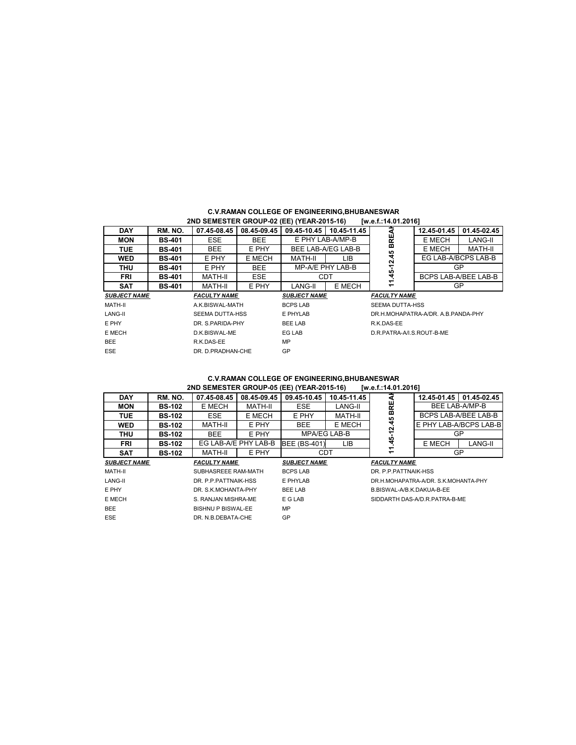# **2ND SEMESTER GROUP-02 (EE) (YEAR-2015-16) [w.e.f.:14.01.2016] K**

| <b>DAY</b>          | RM. NO.       | 07.45-08.45         | 08.45-09.45 | 09.45-10.45         | 10.45-11.45        | ∢                         | 12.45-01.45                        | 01.45-02.45          |
|---------------------|---------------|---------------------|-------------|---------------------|--------------------|---------------------------|------------------------------------|----------------------|
| <b>MON</b>          | <b>BS-401</b> | <b>ESE</b>          | <b>BEE</b>  | E PHY LAB-A/MP-B    |                    | BRE                       | E MECH                             | LANG-II              |
| <b>TUE</b>          | <b>BS-401</b> | <b>BEE</b>          | E PHY       |                     | BEE LAB-A/EG LAB-B |                           | E MECH                             | <b>MATH-II</b>       |
| <b>WED</b>          | <b>BS-401</b> | E PHY               | E MECH      | <b>MATH-II</b>      | LIB                | 45                        |                                    | EG LAB-A/BCPS LAB-B  |
| THU                 | <b>BS-401</b> | E PHY               | <b>BEE</b>  | MP-A/E PHY LAB-B    |                    | <u>يۃ</u>                 |                                    | GP                   |
| <b>FRI</b>          | <b>BS-401</b> | MATH-II             | <b>ESE</b>  | CDT                 |                    | 45                        |                                    | BCPS LAB-A/BEE LAB-B |
| <b>SAT</b>          | <b>BS-401</b> | MATH-II             | E PHY       | LANG-II             | E MECH             | ÷.                        |                                    | GP                   |
|                     |               |                     |             |                     |                    | <b>FACULTY NAME</b>       |                                    |                      |
| <b>SUBJECT NAME</b> |               | <b>FACULTY NAME</b> |             | <b>SUBJECT NAME</b> |                    |                           |                                    |                      |
| MATH-II             |               | A.K.BISWAL-MATH     |             | <b>BCPS LAB</b>     |                    | <b>SEEMA DUTTA-HSS</b>    |                                    |                      |
| LANG-II             |               | SEEMA DUTTA-HSS     |             | E PHYLAB            |                    |                           | DR.H.MOHAPATRA-A/DR. A.B.PANDA-PHY |                      |
| E PHY               |               | DR. S. PARIDA-PHY   |             | <b>BEE LAB</b>      |                    | R.K.DAS-EE                |                                    |                      |
| E MECH              |               | D.K.BISWAL-ME       |             | EG LAB              |                    | D.R.PATRA-A/I.S.ROUT-B-ME |                                    |                      |
| <b>BEE</b>          |               | R.K.DAS-EE          |             | MP                  |                    |                           |                                    |                      |

### **2ND SEMESTER GROUP-05 (EE) (YEAR-2015-16) [w.e.f.:14.01.2016] KC.V.RAMAN COLLEGE OF ENGINEERING,BHUBANESWAR**

|                     |               |                           |                      | $\overline{\phantom{a}}$ |                |                           |                                      |                         |
|---------------------|---------------|---------------------------|----------------------|--------------------------|----------------|---------------------------|--------------------------------------|-------------------------|
| <b>DAY</b>          | RM. NO.       | 07.45-08.45               | 08.45-09.45          | 09.45-10.45              | 10.45-11.45    | ⋖                         |                                      | 12.45-01.45 01.45-02.45 |
| <b>MON</b>          | <b>BS-102</b> | E MECH                    | MATH-II              | <b>ESE</b>               | LANG-II        | BRE                       | BEE LAB-A/MP-B                       |                         |
| <b>TUE</b>          | <b>BS-102</b> | ESE.                      | E MECH               | E PHY                    | <b>MATH-II</b> |                           | BCPS LAB-A/BEE LAB-B                 |                         |
| <b>WED</b>          | <b>BS-102</b> | MATH-II                   | E PHY                | <b>BEE</b>               | E MECH         | $-12.45$                  | E PHY LAB-A/BCPS LAB-B               |                         |
| <b>THU</b>          | <b>BS-102</b> | BEE                       | E PHY                |                          | MPA/EG LAB-B   |                           |                                      | GP                      |
| <b>FRI</b>          | <b>BS-102</b> |                           | EG LAB-A/E PHY LAB-B | <b>BEE (BS-401)</b>      | LIB.           | 45                        | E MECH                               | LANG-II                 |
| <b>SAT</b>          | <b>BS-102</b> | MATH-II                   | E PHY                | <b>CDT</b>               |                | Ξ                         | GP                                   |                         |
| <b>SUBJECT NAME</b> |               | <b>FACULTY NAME</b>       |                      | <b>SUBJECT NAME</b>      |                | <b>FACULTY NAME</b>       |                                      |                         |
| MATH-II             |               | SUBHASREEE RAM-MATH       |                      | <b>BCPS LAB</b>          |                | DR. P.P.PATTNAIK-HSS      |                                      |                         |
| LANG-II             |               | DR. P.P.PATTNAIK-HSS      |                      | E PHYLAB                 |                |                           | DR.H.MOHAPATRA-A/DR. S.K.MOHANTA-PHY |                         |
| E PHY               |               | DR. S.K.MOHANTA-PHY       |                      | <b>BEE LAB</b>           |                | B.BISWAL-A/B.K.DAKUA-B-EE |                                      |                         |
| E MECH              |               | S. RANJAN MISHRA-ME       |                      | E G LAB                  |                |                           | SIDDARTH DAS-A/D R PATRA-B-ME        |                         |
| <b>BEE</b>          |               | <b>BISHNU P BISWAL-EE</b> |                      | MP                       |                |                           |                                      |                         |
| <b>ESE</b>          |               | DR. N.B.DEBATA-CHE        |                      | GP                       |                |                           |                                      |                         |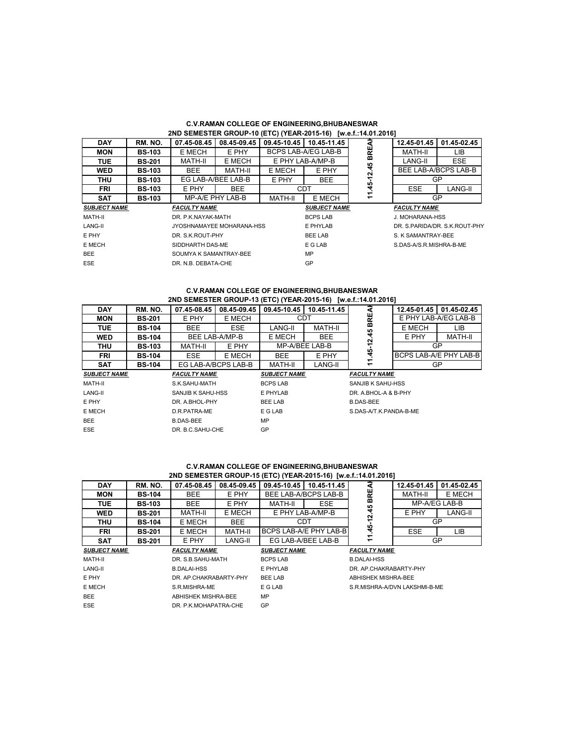|                                      | 2ND SEMESTER GROUP-10 (ETC) (YEAR-2015-16) [w.e.f.:14.01.2016] |                           |                    |             |                     |         |                                                                                                      |                      |  |  |  |
|--------------------------------------|----------------------------------------------------------------|---------------------------|--------------------|-------------|---------------------|---------|------------------------------------------------------------------------------------------------------|----------------------|--|--|--|
| <b>DAY</b>                           | RM. NO.                                                        | 07.45-08.45               | 08.45-09.45        | 09.45-10.45 | 10.45-11.45         |         | 12.45-01.45                                                                                          | 01.45-02.45          |  |  |  |
| <b>MON</b>                           | <b>BS-103</b>                                                  | E MECH                    | E PHY              |             | BCPS LAB-A/EG LAB-B | BRE     | MATH-II                                                                                              | LIB.                 |  |  |  |
| <b>TUE</b>                           | <b>BS-201</b>                                                  | MATH-II                   | E MECH             |             | E PHY LAB-A/MP-B    |         | LANG-II                                                                                              | <b>ESE</b>           |  |  |  |
| <b>WED</b>                           | <b>BS-103</b>                                                  | <b>BEE</b>                | MATH-II            | E MECH      | E PHY               | 45<br>N |                                                                                                      | BEE LAB-A/BCPS LAB-B |  |  |  |
| <b>THU</b>                           | <b>BS-103</b>                                                  |                           | EG LAB-A/BEE LAB-B | E PHY       | <b>BEE</b>          |         |                                                                                                      | GP                   |  |  |  |
| FRI                                  | <b>BS-103</b>                                                  | E PHY                     | <b>BEE</b>         |             | <b>CDT</b>          | 45      | <b>ESE</b>                                                                                           | LANG-II              |  |  |  |
| <b>SAT</b>                           | <b>BS-103</b>                                                  |                           | MP-A/E PHY LAB-B   | MATH-II     | E MECH              | ÷.      |                                                                                                      | GP                   |  |  |  |
| <b>SUBJECT NAME</b>                  |                                                                | <b>FACULTY NAME</b>       |                    |             | <b>SUBJECT NAME</b> |         | <b>FACULTY NAME</b>                                                                                  |                      |  |  |  |
| MATH-II                              |                                                                | DR. P.K.NAYAK-MATH        |                    |             | <b>BCPS LAB</b>     |         |                                                                                                      |                      |  |  |  |
| LANG-II                              |                                                                | JYOSHNAMAYEE MOHARANA-HSS |                    |             | E PHYLAB            |         |                                                                                                      |                      |  |  |  |
| E PHY                                |                                                                | DR. S.K.ROUT-PHY          |                    |             | <b>BEE LAB</b>      |         |                                                                                                      |                      |  |  |  |
| E MECH                               | SIDDHARTH DAS-ME                                               |                           |                    | E G LAB     |                     |         | J. MOHARANA-HSS<br>DR. S. PARIDA/DR. S. K. ROUT-PHY<br>S. K SAMANTRAY-BEE<br>S.DAS-A/S.R.MISHRA-B-ME |                      |  |  |  |
| <b>BEE</b><br>SOUMYA K SAMANTRAY-BEE |                                                                |                           | MP                 |             |                     |         |                                                                                                      |                      |  |  |  |
| <b>ESE</b>                           |                                                                | DR. N.B. DEBATA-CHE       |                    |             | GP                  |         |                                                                                                      |                      |  |  |  |

# **C.V.RAMAN COLLEGE OF ENGINEERING,BHUBANESWAR**

|                     | 2ND SEMESTER GROUP-13 (ETC) (YEAR-2015-16) [w.e.f.:14.01.2016] |                     |                                    |                                   |             |                      |                        |                      |  |  |
|---------------------|----------------------------------------------------------------|---------------------|------------------------------------|-----------------------------------|-------------|----------------------|------------------------|----------------------|--|--|
| <b>DAY</b>          | RM. NO.                                                        | 07.45-08.45         | 08.45-09.45                        | 09.45-10.45                       | 10.45-11.45 |                      | 12.45-01.45            | 01.45-02.45          |  |  |
| <b>MON</b>          | <b>BS-201</b>                                                  | E PHY               | E MECH                             | <b>CDT</b>                        |             | BRE                  |                        | E PHY LAB-A/EG LAB-B |  |  |
| <b>TUE</b>          | <b>BS-104</b>                                                  | <b>BEE</b>          | <b>ESE</b>                         | LANG-II                           | MATH-II     |                      | E MECH                 | LIB                  |  |  |
| <b>WED</b>          | <b>BS-104</b>                                                  |                     | BEE LAB-A/MP-B                     | E MECH                            | BEE.        | $-12.45$             | E PHY                  | MATH-II              |  |  |
| <b>THU</b>          | <b>BS-103</b>                                                  | MATH-II             | E PHY                              | MP-A/BEE LAB-B                    |             |                      | GP                     |                      |  |  |
| FRI                 | <b>BS-104</b>                                                  | <b>ESE</b>          | E MECH                             | <b>BEE</b>                        | E PHY       | 45                   | BCPS LAB-A/E PHY LAB-B |                      |  |  |
| <b>SAT</b>          | <b>BS-104</b>                                                  |                     | EG LAB-A/BCPS LAB-B                | MATH-II                           | LANG-II     | ÷.                   |                        | GP.                  |  |  |
| <b>SUBJECT NAME</b> |                                                                | <b>FACULTY NAME</b> |                                    | <b>SUBJECT NAME</b>               |             | <b>FACULTY NAME</b>  |                        |                      |  |  |
| MATH-II             |                                                                | S.K.SAHU-MATH       |                                    | <b>BCPS LAB</b>                   |             | SANJIB K SAHU-HSS    |                        |                      |  |  |
| LANG-II             |                                                                | SANJIB K SAHU-HSS   |                                    | E PHYLAB                          |             | DR. A BHOL-A & B-PHY |                        |                      |  |  |
| E PHY               |                                                                | DR. A.BHOL-PHY      | <b>BEE LAB</b><br><b>B.DAS-BEE</b> |                                   |             |                      |                        |                      |  |  |
| E MECH              |                                                                | D.R.PATRA-ME        |                                    | E G LAB<br>S.DAS-A/T.K.PANDA-B-ME |             |                      |                        |                      |  |  |
| <b>BEE</b>          |                                                                | <b>B.DAS-BEE</b>    |                                    | МP                                |             |                      |                        |                      |  |  |
| <b>ESE</b>          |                                                                | DR. B.C.SAHU-CHE    |                                    | GP                                |             |                      |                        |                      |  |  |

### **C.V.RAMAN COLLEGE OF ENGINEERING,BHUBANESWAR 2ND SEMESTER GROUP-15 (ETC) (YEAR-2015-16) [w.e.f.:14.01.2016]**

|                     | , ,<br>.      |                            |             |                     |                               |                            |                               |               |  |  |
|---------------------|---------------|----------------------------|-------------|---------------------|-------------------------------|----------------------------|-------------------------------|---------------|--|--|
| <b>DAY</b>          | RM. NO.       | 07.45-08.45                | 08.45-09.45 | 09.45-10.45         | 10.45-11.45                   | ๔                          | 12.45-01.45                   | 01.45-02.45   |  |  |
| <b>MON</b>          | <b>BS-104</b> | <b>BEE</b>                 | E PHY       |                     | BEE LAB-A/BCPS LAB-B          | BRE                        | <b>MATH-II</b>                | E MECH        |  |  |
| <b>TUE</b>          | <b>BS-103</b> | <b>BEE</b>                 | E PHY       | ESE.<br>MATH-II     |                               |                            |                               | MP-A/EG LAB-B |  |  |
| <b>WED</b>          | <b>BS-201</b> | MATH-II                    | E MECH      |                     | E PHY LAB-A/MP-B              | $-45 - 12.45$              | E PHY                         | LANG-II       |  |  |
| <b>THU</b>          | <b>BS-104</b> | E MECH                     | <b>BEE</b>  | <b>CDT</b>          |                               |                            |                               | GP            |  |  |
| FRI                 | <b>BS-201</b> | E MECH                     | MATH-II     |                     | <b>BCPS LAB-A/E PHY LAB-B</b> |                            | <b>ESE</b>                    | LIB.          |  |  |
| <b>SAT</b>          | <b>BS-201</b> | E PHY                      | LANG-II     | EG LAB-A/BEE LAB-B  |                               | Ξ                          |                               | GP            |  |  |
| <b>SUBJECT NAME</b> |               | <b>FACULTY NAME</b>        |             | <b>SUBJECT NAME</b> |                               | <b>FACULTY NAME</b>        |                               |               |  |  |
| MATH-II             |               | DR. S.B.SAHU-MATH          |             | <b>BCPS LAB</b>     |                               | <b>B.DALAI-HSS</b>         |                               |               |  |  |
| LANG-II             |               | <b>B.DALAI-HSS</b>         |             | E PHYLAB            |                               | DR. AP.CHAKRABARTY-PHY     |                               |               |  |  |
| E PHY               |               | DR. AP.CHAKRABARTY-PHY     |             | <b>BEE LAB</b>      |                               | <b>ABHISHEK MISHRA-BEE</b> |                               |               |  |  |
| E MECH              |               | S.R.MISHRA-ME              |             | E G LAB             |                               |                            | S.R.MISHRA-A/DVN LAKSHMI-B-ME |               |  |  |
| <b>BEE</b>          |               | <b>ABHISHEK MISHRA-BEE</b> |             | MP                  |                               |                            |                               |               |  |  |
| <b>ESE</b>          |               | DR. P.K.MOHAPATRA-CHE      |             | GP                  |                               |                            |                               |               |  |  |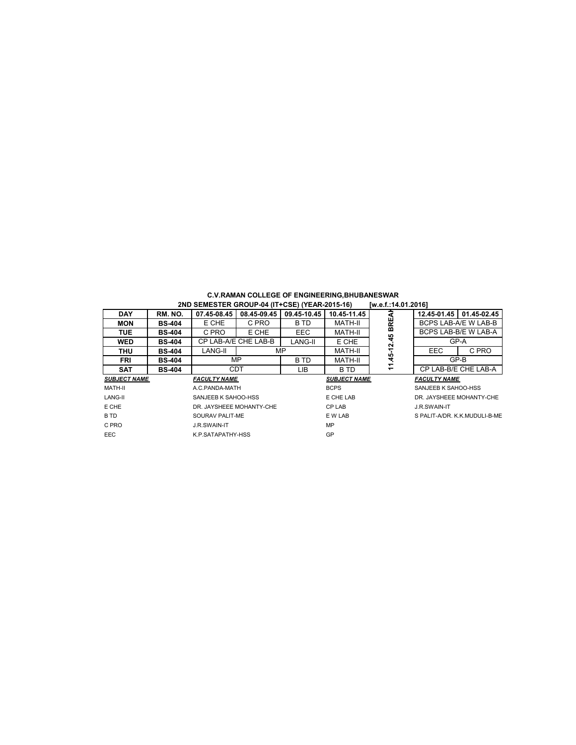**DAY RM. NO. 07.45-08.45 08.45-09.45 09.45-10.45 10.45-11.45**<br> **MON BS-404 ECHE CPRO BTD MATH-III BCPS LAB-A/E W LAB-B**<br> **WED BS-404 CPLAB-A/E CHE EEC MATH-III BCPS LAB-B/E W LAB-A<br>
<b>WED B MON BS-404** E CHE C PRO B TD MATH-II **TUE BS-404** C PRO E CHE EEC MATH-II **WED** BS-404 CP LAB-A/E CHE LAB-B LANG-II E CHE **THU BS-404** LANG-II MATH-II EEC C PRO **FRI BS-404** B TD MATH-II **SAT** | **BS-404** | CDT | LIB | BTD *SUBJECT NAME FACULTY NAME SUBJECT NAME FACULTY NAME* MATH-II A.C.PANDA-MATH BCPS SANJEEB K SAHOO-HSS LANG-II SANJEEB K SAHOO-HSS E CHE LAB DR. JAYSHEEE MOHANTY-CHE E CHE DR. JAYSHEEE MOHANTY-CHE CP LAB J.R.SWAIN-IT B TD SOURAV PALIT-ME E W LAB S PALIT-A/DR. K.K.MUDULI-B-ME C PRO 3.R.SWAIN-IT EEC K.P.SATAPATHY-HSS GP **11.45-12.45 BREA** BCPS LAB-A/E W LAB-B BCPS LAB-B/E W LAB-A CP LAB-B/E CHE LAB-A  $GP-<sub>A</sub>$ GP-B MP MP CDT

#### **C.V.RAMAN COLLEGE OF ENGINEERING,BHUBANESWAR** 2ND SEMESTER GROUP-04 (IT+CSE) (YEAR-2015-16) [w.e.f.:14.01.2016]